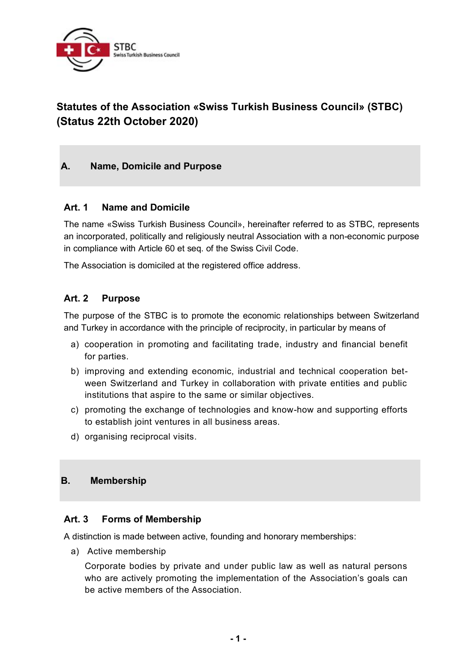

# **Statutes of the Association «Swiss Turkish Business Council» (STBC) (Status 22th October 2020)**

### **A. Name, Domicile and Purpose**

#### **Art. 1 Name and Domicile**

The name «Swiss Turkish Business Council», hereinafter referred to as STBC, represents an incorporated, politically and religiously neutral Association with a non-economic purpose in compliance with Article 60 et seq. of the Swiss Civil Code.

The Association is domiciled at the registered office address.

#### **Art. 2 Purpose**

The purpose of the STBC is to promote the economic relationships between Switzerland and Turkey in accordance with the principle of reciprocity, in particular by means of

- a) cooperation in promoting and facilitating trade, industry and financial benefit for parties.
- b) improving and extending economic, industrial and technical cooperation between Switzerland and Turkey in collaboration with private entities and public institutions that aspire to the same or similar objectives.
- c) promoting the exchange of technologies and know-how and supporting efforts to establish joint ventures in all business areas.
- d) organising reciprocal visits.

#### **B. Membership**

#### **Art. 3 Forms of Membership**

A distinction is made between active, founding and honorary memberships:

a) Active membership

Corporate bodies by private and under public law as well as natural persons who are actively promoting the implementation of the Association's goals can be active members of the Association.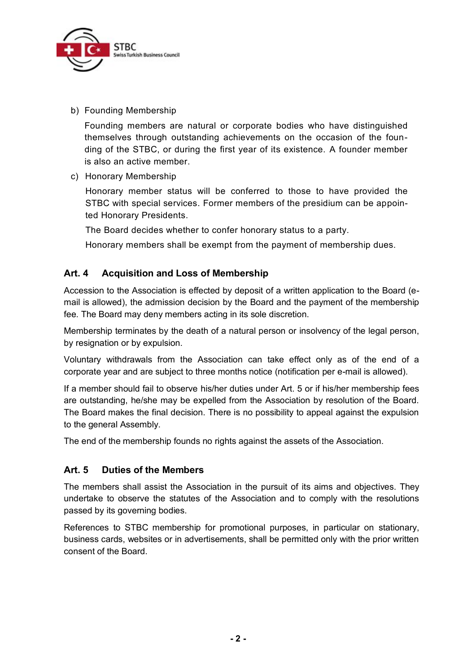

b) Founding Membership

Founding members are natural or corporate bodies who have distinguished themselves through outstanding achievements on the occasion of the founding of the STBC, or during the first year of its existence. A founder member is also an active member.

c) Honorary Membership

Honorary member status will be conferred to those to have provided the STBC with special services. Former members of the presidium can be appointed Honorary Presidents.

The Board decides whether to confer honorary status to a party.

Honorary members shall be exempt from the payment of membership dues.

# **Art. 4 Acquisition and Loss of Membership**

Accession to the Association is effected by deposit of a written application to the Board (email is allowed), the admission decision by the Board and the payment of the membership fee. The Board may deny members acting in its sole discretion.

Membership terminates by the death of a natural person or insolvency of the legal person, by resignation or by expulsion.

Voluntary withdrawals from the Association can take effect only as of the end of a corporate year and are subject to three months notice (notification per e-mail is allowed).

If a member should fail to observe his/her duties under Art. 5 or if his/her membership fees are outstanding, he/she may be expelled from the Association by resolution of the Board. The Board makes the final decision. There is no possibility to appeal against the expulsion to the general Assembly.

The end of the membership founds no rights against the assets of the Association.

# **Art. 5 Duties of the Members**

The members shall assist the Association in the pursuit of its aims and objectives. They undertake to observe the statutes of the Association and to comply with the resolutions passed by its governing bodies.

References to STBC membership for promotional purposes, in particular on stationary, business cards, websites or in advertisements, shall be permitted only with the prior written consent of the Board.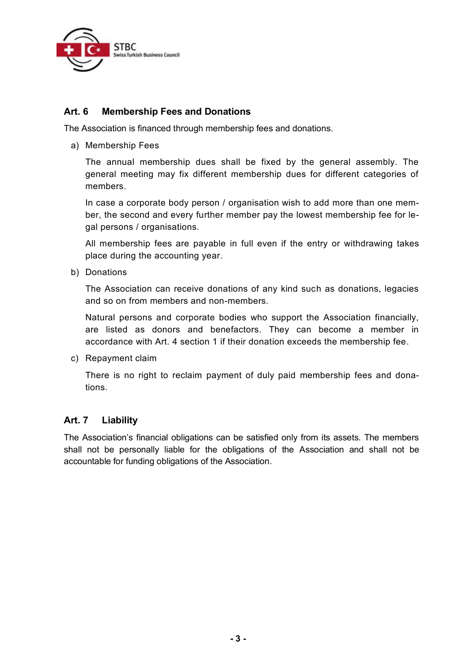

### **Art. 6 Membership Fees and Donations**

The Association is financed through membership fees and donations.

a) Membership Fees

The annual membership dues shall be fixed by the general assembly. The general meeting may fix different membership dues for different categories of members.

In case a corporate body person / organisation wish to add more than one member, the second and every further member pay the lowest membership fee for legal persons / organisations.

All membership fees are payable in full even if the entry or withdrawing takes place during the accounting year.

b) Donations

The Association can receive donations of any kind such as donations, legacies and so on from members and non-members.

Natural persons and corporate bodies who support the Association financially, are listed as donors and benefactors. They can become a member in accordance with Art. 4 section 1 if their donation exceeds the membership fee.

c) Repayment claim

There is no right to reclaim payment of duly paid membership fees and donations.

#### **Art. 7 Liability**

The Association's financial obligations can be satisfied only from its assets. The members shall not be personally liable for the obligations of the Association and shall not be accountable for funding obligations of the Association.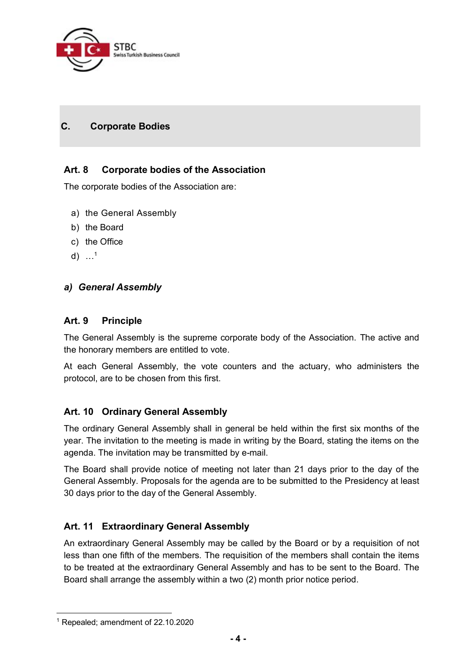

# **C. Corporate Bodies**

### **Art. 8 Corporate bodies of the Association**

The corporate bodies of the Association are:

- a) the General Assembly
- b) the Board
- c) the Office
- d)  $...^1$

#### *a) General Assembly*

#### **Art. 9 Principle**

The General Assembly is the supreme corporate body of the Association. The active and the honorary members are entitled to vote.

At each General Assembly, the vote counters and the actuary, who administers the protocol, are to be chosen from this first.

#### **Art. 10 Ordinary General Assembly**

The ordinary General Assembly shall in general be held within the first six months of the year. The invitation to the meeting is made in writing by the Board, stating the items on the agenda. The invitation may be transmitted by e-mail.

The Board shall provide notice of meeting not later than 21 days prior to the day of the General Assembly. Proposals for the agenda are to be submitted to the Presidency at least 30 days prior to the day of the General Assembly.

# **Art. 11 Extraordinary General Assembly**

An extraordinary General Assembly may be called by the Board or by a requisition of not less than one fifth of the members. The requisition of the members shall contain the items to be treated at the extraordinary General Assembly and has to be sent to the Board. The Board shall arrange the assembly within a two (2) month prior notice period.

<sup>1</sup> Repealed; amendment of 22.10.2020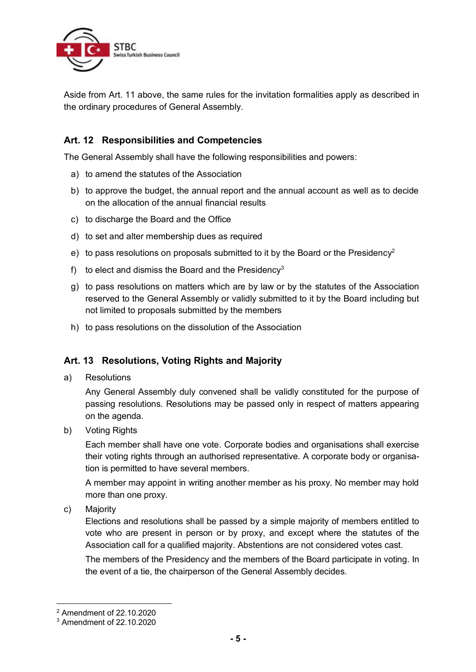

Aside from Art. 11 above, the same rules for the invitation formalities apply as described in the ordinary procedures of General Assembly.

# **Art. 12 Responsibilities and Competencies**

The General Assembly shall have the following responsibilities and powers:

- a) to amend the statutes of the Association
- b) to approve the budget, the annual report and the annual account as well as to decide on the allocation of the annual financial results
- c) to discharge the Board and the Office
- d) to set and alter membership dues as required
- e) to pass resolutions on proposals submitted to it by the Board or the Presidency<sup>2</sup>
- f) to elect and dismiss the Board and the Presidency<sup>3</sup>
- g) to pass resolutions on matters which are by law or by the statutes of the Association reserved to the General Assembly or validly submitted to it by the Board including but not limited to proposals submitted by the members
- h) to pass resolutions on the dissolution of the Association

# **Art. 13 Resolutions, Voting Rights and Majority**

a) Resolutions

Any General Assembly duly convened shall be validly constituted for the purpose of passing resolutions. Resolutions may be passed only in respect of matters appearing on the agenda.

b) Voting Rights

Each member shall have one vote. Corporate bodies and organisations shall exercise their voting rights through an authorised representative. A corporate body or organisation is permitted to have several members.

A member may appoint in writing another member as his proxy. No member may hold more than one proxy.

c) Majority

Elections and resolutions shall be passed by a simple majority of members entitled to vote who are present in person or by proxy, and except where the statutes of the Association call for a qualified majority. Abstentions are not considered votes cast.

The members of the Presidency and the members of the Board participate in voting. In the event of a tie, the chairperson of the General Assembly decides.

<sup>2</sup> Amendment of 22.10.2020

<sup>3</sup> Amendment of 22.10.2020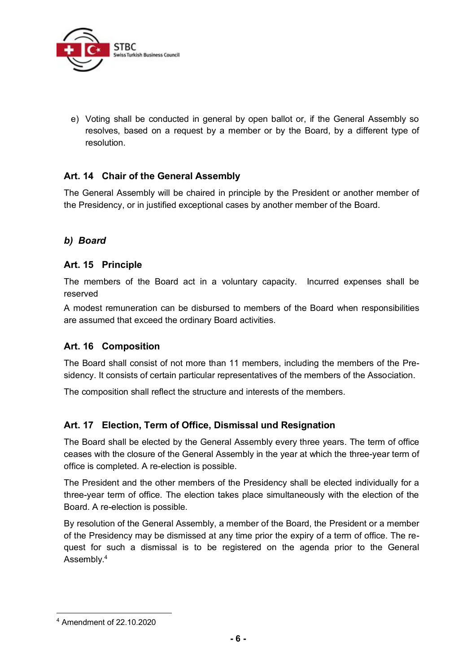

e) Voting shall be conducted in general by open ballot or, if the General Assembly so resolves, based on a request by a member or by the Board, by a different type of resolution.

# **Art. 14 Chair of the General Assembly**

The General Assembly will be chaired in principle by the President or another member of the Presidency, or in justified exceptional cases by another member of the Board.

# *b) Board*

#### **Art. 15 Principle**

The members of the Board act in a voluntary capacity. Incurred expenses shall be reserved

A modest remuneration can be disbursed to members of the Board when responsibilities are assumed that exceed the ordinary Board activities.

#### **Art. 16 Composition**

The Board shall consist of not more than 11 members, including the members of the Presidency. It consists of certain particular representatives of the members of the Association.

The composition shall reflect the structure and interests of the members.

# **Art. 17 Election, Term of Office, Dismissal und Resignation**

The Board shall be elected by the General Assembly every three years. The term of office ceases with the closure of the General Assembly in the year at which the three-year term of office is completed. A re-election is possible.

The President and the other members of the Presidency shall be elected individually for a three-year term of office. The election takes place simultaneously with the election of the Board. A re-election is possible.

By resolution of the General Assembly, a member of the Board, the President or a member of the Presidency may be dismissed at any time prior the expiry of a term of office. The request for such a dismissal is to be registered on the agenda prior to the General Assembly.<sup>4</sup>

<sup>4</sup> Amendment of 22.10.2020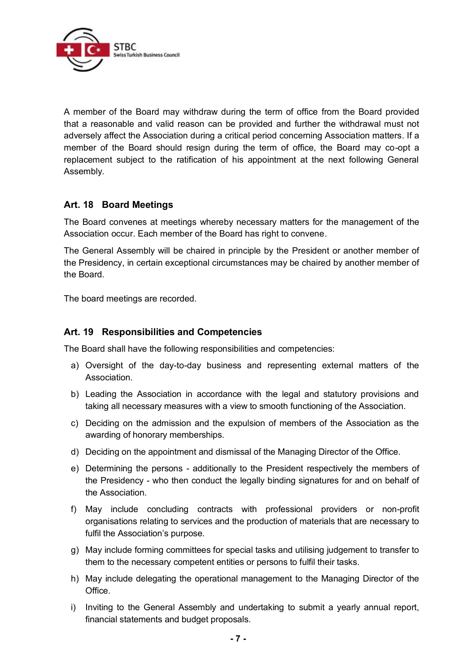

A member of the Board may withdraw during the term of office from the Board provided that a reasonable and valid reason can be provided and further the withdrawal must not adversely affect the Association during a critical period concerning Association matters. If a member of the Board should resign during the term of office, the Board may co-opt a replacement subject to the ratification of his appointment at the next following General Assembly.

#### **Art. 18 Board Meetings**

The Board convenes at meetings whereby necessary matters for the management of the Association occur. Each member of the Board has right to convene.

The General Assembly will be chaired in principle by the President or another member of the Presidency, in certain exceptional circumstances may be chaired by another member of the Board.

The board meetings are recorded.

#### **Art. 19 Responsibilities and Competencies**

The Board shall have the following responsibilities and competencies:

- a) Oversight of the day-to-day business and representing external matters of the Association.
- b) Leading the Association in accordance with the legal and statutory provisions and taking all necessary measures with a view to smooth functioning of the Association.
- c) Deciding on the admission and the expulsion of members of the Association as the awarding of honorary memberships.
- d) Deciding on the appointment and dismissal of the Managing Director of the Office.
- e) Determining the persons additionally to the President respectively the members of the Presidency - who then conduct the legally binding signatures for and on behalf of the Association.
- f) May include concluding contracts with professional providers or non-profit organisations relating to services and the production of materials that are necessary to fulfil the Association's purpose.
- g) May include forming committees for special tasks and utilising judgement to transfer to them to the necessary competent entities or persons to fulfil their tasks.
- h) May include delegating the operational management to the Managing Director of the Office.
- i) Inviting to the General Assembly and undertaking to submit a yearly annual report, financial statements and budget proposals.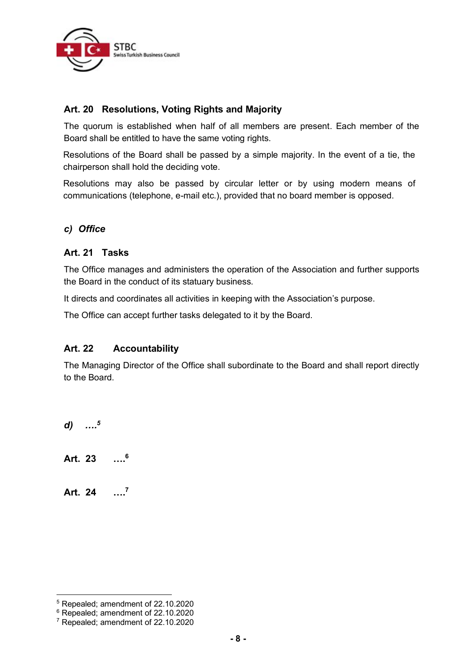

# **Art. 20 Resolutions, Voting Rights and Majority**

The quorum is established when half of all members are present. Each member of the Board shall be entitled to have the same voting rights.

Resolutions of the Board shall be passed by a simple majority. In the event of a tie, the chairperson shall hold the deciding vote.

Resolutions may also be passed by circular letter or by using modern means of communications (telephone, e-mail etc.), provided that no board member is opposed.

# *c) Office*

# **Art. 21 Tasks**

The Office manages and administers the operation of the Association and further supports the Board in the conduct of its statuary business.

It directs and coordinates all activities in keeping with the Association's purpose.

The Office can accept further tasks delegated to it by the Board.

# **Art. 22 Accountability**

The Managing Director of the Office shall subordinate to the Board and shall report directly to the Board.

*d) …. 5*

**Art. 23 …. 6**

**Art. 24 …. 7**

<sup>5</sup> Repealed; amendment of 22.10.2020

<sup>6</sup> Repealed; amendment of 22.10.2020

<sup>7</sup> Repealed; amendment of 22.10.2020